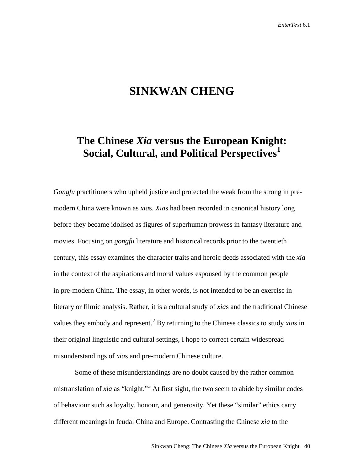# **SINKWAN CHENG**

# **The Chinese** *Xia* **versus the European Knight: Social, Cultural, and Political Perspectives[1](#page-29-0)**

*Gongfu* practitioners who upheld justice and protected the weak from the strong in premodern China were known as *xia*s. *Xia*s had been recorded in canonical history long before they became idolised as figures of superhuman prowess in fantasy literature and movies. Focusing on *gongfu* literature and historical records prior to the twentieth century, this essay examines the character traits and heroic deeds associated with the *xia*  in the context of the aspirations and moral values espoused by the common people in pre-modern China. The essay, in other words, is not intended to be an exercise in literary or filmic analysis. Rather, it is a cultural study of *xia*s and the traditional Chinese values they embody and represent.<sup>[2](#page-29-1)</sup> By returning to the Chinese classics to study *xias* in their original linguistic and cultural settings, I hope to correct certain widespread misunderstandings of *xia*s and pre-modern Chinese culture.

Some of these misunderstandings are no doubt caused by the rather common mistranslation of *xia* as "knight."<sup>[3](#page-29-2)</sup> At first sight, the two seem to abide by similar codes of behaviour such as loyalty, honour, and generosity. Yet these "similar" ethics carry different meanings in feudal China and Europe. Contrasting the Chinese *xia* to the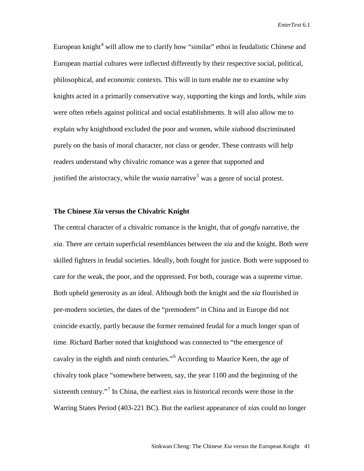European knight<sup>[4](#page-30-0)</sup> will allow me to clarify how "similar" ethoi in feudalistic Chinese and European martial cultures were inflected differently by their respective social, political, philosophical, and economic contexts. This will in turn enable me to examine why knights acted in a primarily conservative way, supporting the kings and lords, while *xia*s were often rebels against political and social establishments. It will also allow me to explain why knighthood excluded the poor and women, while *xia*hood discriminated purely on the basis of moral character, not class or gender. These contrasts will help readers understand why chivalric romance was a genre that supported and justified the aristocracy, while the *wuxia* narrative<sup>[5](#page-30-1)</sup> was a genre of social protest.

# **The Chinese** *Xia* **versus the Chivalric Knight**

The central character of a chivalric romance is the knight, that of *gongfu* narrative, the *xia*. There are certain superficial resemblances between the *xia* and the knight. Both were skilled fighters in feudal societies. Ideally, both fought for justice. Both were supposed to care for the weak, the poor, and the oppressed. For both, courage was a supreme virtue. Both upheld generosity as an ideal. Although both the knight and the *xia* flourished in pre-modern societies, the dates of the "premodern" in China and in Europe did not coincide exactly, partly because the former remained feudal for a much longer span of time. Richard Barber noted that knighthood was connected to "the emergence of cavalry in the eighth and ninth centuries."[6](#page-30-2) According to Maurice Keen, the age of chivalry took place "somewhere between, say, the year 1100 and the beginning of the sixteenth century."[7](#page-30-3) In China, the earliest *xia*s in historical records were those in the Warring States Period (403-221 BC). But the earliest appearance of *xia*s could no longer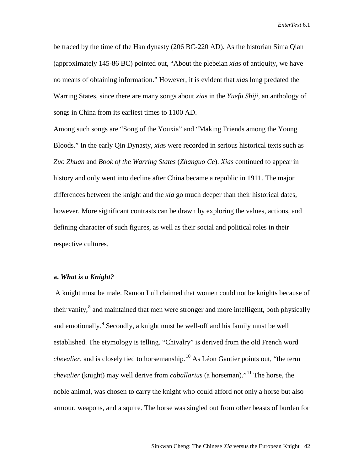be traced by the time of the Han dynasty (206 BC-220 AD). As the historian Sima Qian (approximately 145-86 BC) pointed out, "About the plebeian *xia*s of antiquity, we have no means of obtaining information." However, it is evident that *xia*s long predated the Warring States, since there are many songs about *xia*s in the *Yuefu Shiji*, an anthology of songs in China from its earliest times to 1100 AD.

Among such songs are "Song of the Youxia" and "Making Friends among the Young Bloods." In the early Qin Dynasty, *xia*s were recorded in serious historical texts such as *Zuo Zhuan* and *Book of the Warring States* (*Zhanguo Ce*). *Xia*s continued to appear in history and only went into decline after China became a republic in 1911. The major differences between the knight and the *xia* go much deeper than their historical dates, however. More significant contrasts can be drawn by exploring the values, actions, and defining character of such figures, as well as their social and political roles in their respective cultures.

# **a.** *What is a Knight?*

A knight must be male. Ramon Lull claimed that women could not be knights because of their vanity, $\frac{8}{3}$  $\frac{8}{3}$  $\frac{8}{3}$  and maintained that men were stronger and more intelligent, both physically and emotionally.<sup>[9](#page-31-1)</sup> Secondly, a knight must be well-off and his family must be well established. The etymology is telling. "Chivalry" is derived from the old French word *chevalier*, and is closely tied to horsemanship.<sup>[10](#page-31-2)</sup> As Léon Gautier points out, "the term *chevalier* (knight) may well derive from *caballarius* (a horseman)."<sup>[11](#page-31-3)</sup> The horse, the noble animal, was chosen to carry the knight who could afford not only a horse but also armour, weapons, and a squire. The horse was singled out from other beasts of burden for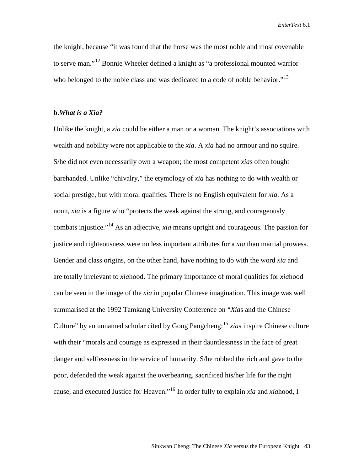the knight, because "it was found that the horse was the most noble and most covenable to serve man."[12](#page-32-0) Bonnie Wheeler defined a knight as "a professional mounted warrior who belonged to the noble class and was dedicated to a code of noble behavior."<sup>[13](#page-32-1)</sup>

### **b.***What is a Xia?*

Unlike the knight, a *xia* could be either a man or a woman. The knight's associations with wealth and nobility were not applicable to the *xia*. A *xia* had no armour and no squire. S/he did not even necessarily own a weapon; the most competent *xia*s often fought barehanded. Unlike "chivalry," the etymology of *xia* has nothing to do with wealth or social prestige, but with moral qualities. There is no English equivalent for *xia*. As a noun, *xia* is a figure who "protects the weak against the strong, and courageously combats injustice."[14](#page-32-2) As an adjective, *xia* means upright and courageous. The passion for justice and righteousness were no less important attributes for a *xia* than martial prowess. Gender and class origins, on the other hand, have nothing to do with the word *xia* and are totally irrelevant to *xia*hood. The primary importance of moral qualities for *xia*hood can be seen in the image of the *xia* in popular Chinese imagination. This image was well summarised at the 1992 Tamkang University Conference on "*Xia*s and the Chinese Culture" by an unnamed scholar cited by Gong Pangcheng:<sup>[15](#page-32-3)</sup> *xias* inspire Chinese culture with their "morals and courage as expressed in their dauntlessness in the face of great danger and selflessness in the service of humanity. S/he robbed the rich and gave to the poor, defended the weak against the overbearing, sacrificed his/her life for the right cause, and executed Justice for Heaven."[16](#page-32-4) In order fully to explain *xia* and *xia*hood, I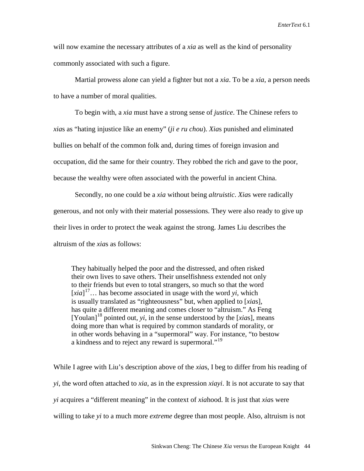will now examine the necessary attributes of a *xia* as well as the kind of personality commonly associated with such a figure.

Martial prowess alone can yield a fighter but not a *xia*. To be a *xia*, a person needs to have a number of moral qualities.

To begin with, a *xia* must have a strong sense of *justice*. The Chinese refers to *xia*s as "hating injustice like an enemy" (*ji e ru chou*). *Xia*s punished and eliminated bullies on behalf of the common folk and, during times of foreign invasion and occupation, did the same for their country. They robbed the rich and gave to the poor, because the wealthy were often associated with the powerful in ancient China.

Secondly, no one could be a *xia* without being *altruistic*. *Xia*s were radically generous, and not only with their material possessions. They were also ready to give up their lives in order to protect the weak against the strong. James Liu describes the altruism of the *xia*s as follows:

 They habitually helped the poor and the distressed, and often risked their own lives to save others. Their unselfishness extended not only to their friends but even to total strangers, so much so that the word  $[xia]$ <sup>[17](#page-33-0)</sup>... has become associated in usage with the word *yi*, which is usually translated as "righteousness" but, when applied to [*xia*s], has quite a different meaning and comes closer to "altruism." As Feng  $[Y$ oulan<sup> $]$ [18](#page-33-1)</sup> pointed out, *yi*, in the sense understood by the [*xias*], means doing more than what is required by common standards of morality, or in other words behaving in a "supermoral" way. For instance, "to bestow a kindness and to reject any reward is supermoral."<sup>[19](#page-33-2)</sup>

While I agree with Liu's description above of the *xia*s, I beg to differ from his reading of *yi*, the word often attached to *xia*, as in the expression *xiayi*. It is not accurate to say that *yi* acquires a "different meaning" in the context of *xia*hood. It is just that *xia*s were willing to take *yi* to a much more *extreme* degree than most people. Also, altruism is not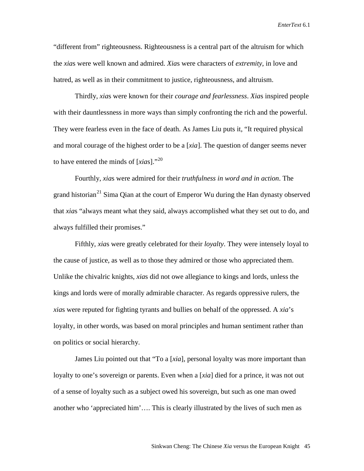"different from" righteousness. Righteousness is a central part of the altruism for which the *xia*s were well known and admired. *Xia*s were characters of *extremity*, in love and hatred, as well as in their commitment to justice, righteousness, and altruism.

Thirdly, *xia*s were known for their *courage and fearlessness*. *Xia*s inspired people with their dauntlessness in more ways than simply confronting the rich and the powerful. They were fearless even in the face of death. As James Liu puts it, "It required physical and moral courage of the highest order to be a [*xia*]. The question of danger seems never to have entered the minds of [*xia*s]."[20](#page-33-3)

Fourthly, *xia*s were admired for their *truthfulness in word and in action*. The grand historian<sup>[21](#page-33-4)</sup> Sima Qian at the court of Emperor Wu during the Han dynasty observed that *xia*s "always meant what they said, always accomplished what they set out to do, and always fulfilled their promises."

Fifthly, *xia*s were greatly celebrated for their *loyalty*. They were intensely loyal to the cause of justice, as well as to those they admired or those who appreciated them. Unlike the chivalric knights, *xia*s did not owe allegiance to kings and lords, unless the kings and lords were of morally admirable character. As regards oppressive rulers, the *xia*s were reputed for fighting tyrants and bullies on behalf of the oppressed. A *xia*'s loyalty, in other words, was based on moral principles and human sentiment rather than on politics or social hierarchy.

James Liu pointed out that "To a [*xia*], personal loyalty was more important than loyalty to one's sovereign or parents. Even when a [*xia*] died for a prince, it was not out of a sense of loyalty such as a subject owed his sovereign, but such as one man owed another who 'appreciated him'…. This is clearly illustrated by the lives of such men as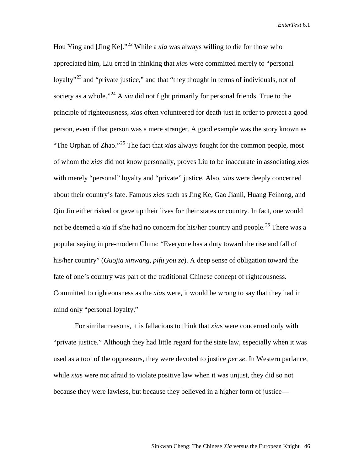Hou Ying and [Jing Ke]."[22](#page-33-5) While a *xia* was always willing to die for those who appreciated him, Liu erred in thinking that *xia*s were committed merely to "personal loyalty<sup> $23$ </sup> and "private justice," and that "they thought in terms of individuals, not of society as a whole."<sup>[24](#page-33-7)</sup> A *xia* did not fight primarily for personal friends. True to the principle of righteousness, *xia*s often volunteered for death just in order to protect a good person, even if that person was a mere stranger. A good example was the story known as "The Orphan of Zhao."[25](#page-33-8) The fact that *xia*s always fought for the common people, most of whom the *xias* did not know personally, proves Liu to be inaccurate in associating *xia*s with merely "personal" loyalty and "private" justice. Also, *xia*s were deeply concerned about their country's fate. Famous *xia*s such as Jing Ke, Gao Jianli, Huang Feihong, and Qiu Jin either risked or gave up their lives for their states or country. In fact, one would not be deemed a *xia* if s/he had no concern for his/her country and people.<sup>[26](#page-33-9)</sup> There was a popular saying in pre-modern China: "Everyone has a duty toward the rise and fall of his/her country" (*Guojia xinwang, pifu you ze*). A deep sense of obligation toward the fate of one's country was part of the traditional Chinese concept of righteousness. Committed to righteousness as the *xia*s were, it would be wrong to say that they had in mind only "personal loyalty."

For similar reasons, it is fallacious to think that *xia*s were concerned only with "private justice." Although they had little regard for the state law, especially when it was used as a tool of the oppressors, they were devoted to justice *per se*. In Western parlance, while *xia*s were not afraid to violate positive law when it was unjust, they did so not because they were lawless, but because they believed in a higher form of justice—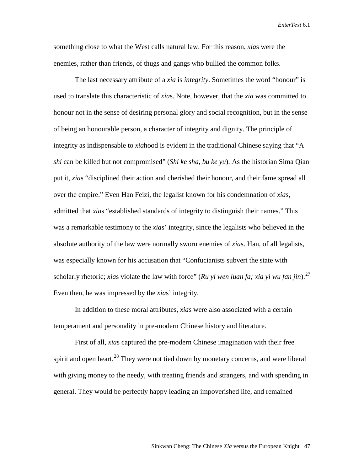something close to what the West calls natural law. For this reason, *xia*s were the enemies, rather than friends, of thugs and gangs who bullied the common folks.

The last necessary attribute of a *xia* is *integrity*. Sometimes the word "honour" is used to translate this characteristic of *xia*s. Note, however, that the *xia* was committed to honour not in the sense of desiring personal glory and social recognition, but in the sense of being an honourable person, a character of integrity and dignity. The principle of integrity as indispensable to *xia*hood is evident in the traditional Chinese saying that "A *shi* can be killed but not compromised" (*Shi ke sha, bu ke yu*). As the historian Sima Qian put it, *xia*s "disciplined their action and cherished their honour, and their fame spread all over the empire." Even Han Feizi, the legalist known for his condemnation of *xia*s, admitted that *xia*s "established standards of integrity to distinguish their names." This was a remarkable testimony to the *xia*s' integrity, since the legalists who believed in the absolute authority of the law were normally sworn enemies of *xia*s. Han, of all legalists, was especially known for his accusation that "Confucianists subvert the state with scholarly rhetoric; *xias* violate the law with force" (*Ru yi wen luan fa; xia yi wu fan jin*).<sup>[27](#page-33-10)</sup> Even then, he was impressed by the *xia*s' integrity.

In addition to these moral attributes, *xia*s were also associated with a certain temperament and personality in pre-modern Chinese history and literature.

First of all, *xia*s captured the pre-modern Chinese imagination with their free spirit and open heart. $^{28}$  $^{28}$  $^{28}$  They were not tied down by monetary concerns, and were liberal with giving money to the needy, with treating friends and strangers, and with spending in general. They would be perfectly happy leading an impoverished life, and remained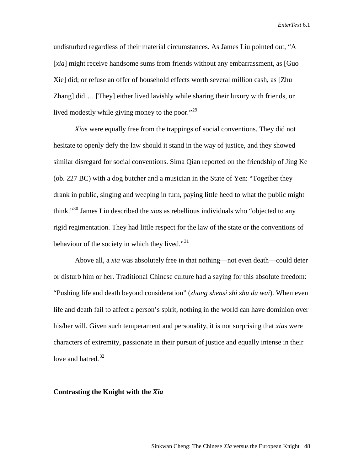undisturbed regardless of their material circumstances. As James Liu pointed out, "A [*xia*] might receive handsome sums from friends without any embarrassment, as [Guo Xie] did; or refuse an offer of household effects worth several million cash, as [Zhu Zhang] did…. [They] either lived lavishly while sharing their luxury with friends, or lived modestly while giving money to the poor."<sup>[29](#page-33-12)</sup>

*Xia*s were equally free from the trappings of social conventions. They did not hesitate to openly defy the law should it stand in the way of justice, and they showed similar disregard for social conventions. Sima Qian reported on the friendship of Jing Ke (ob. 227 BC) with a dog butcher and a musician in the State of Yen: "Together they drank in public, singing and weeping in turn, paying little heed to what the public might think."[30](#page-33-13) James Liu described the *xia*s as rebellious individuals who "objected to any rigid regimentation. They had little respect for the law of the state or the conventions of behaviour of the society in which they lived."<sup>[31](#page-33-14)</sup>

Above all, a *xia* was absolutely free in that nothing—not even death—could deter or disturb him or her. Traditional Chinese culture had a saying for this absolute freedom: "Pushing life and death beyond consideration" (*zhang shensi zhi zhu du wai*). When even life and death fail to affect a person's spirit, nothing in the world can have dominion over his/her will. Given such temperament and personality, it is not surprising that *xia*s were characters of extremity, passionate in their pursuit of justice and equally intense in their love and hatred.<sup>[32](#page-33-15)</sup>

## **Contrasting the Knight with the** *Xia*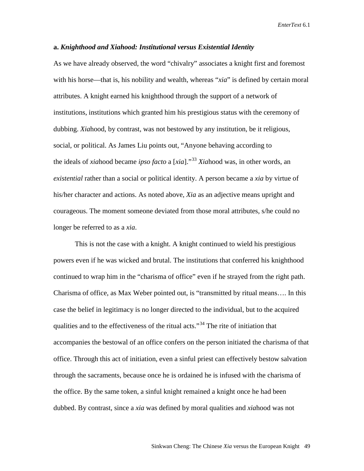## **a.** *Knighthood and Xiahood: Institutional versus Existential Identity*

As we have already observed, the word "chivalry" associates a knight first and foremost with his horse—that is, his nobility and wealth, whereas "*xia*" is defined by certain moral attributes. A knight earned his knighthood through the support of a network of institutions, institutions which granted him his prestigious status with the ceremony of dubbing. *Xia*hood, by contrast, was not bestowed by any institution, be it religious, social, or political. As James Liu points out, "Anyone behaving according to the ideals of *xia*hood became *ipso facto* a [*xia*]."[33](#page-33-16) *Xia*hood was, in other words, an *existential* rather than a social or political identity. A person became a *xia* by virtue of his/her character and actions. As noted above, *Xia* as an adjective means upright and courageous. The moment someone deviated from those moral attributes, s/he could no longer be referred to as a *xia*.

This is not the case with a knight. A knight continued to wield his prestigious powers even if he was wicked and brutal. The institutions that conferred his knighthood continued to wrap him in the "charisma of office" even if he strayed from the right path. Charisma of office, as Max Weber pointed out, is "transmitted by ritual means…. In this case the belief in legitimacy is no longer directed to the individual, but to the acquired qualities and to the effectiveness of the ritual acts."<sup>[34](#page-33-17)</sup> The rite of initiation that accompanies the bestowal of an office confers on the person initiated the charisma of that office. Through this act of initiation, even a sinful priest can effectively bestow salvation through the sacraments, because once he is ordained he is infused with the charisma of the office. By the same token, a sinful knight remained a knight once he had been dubbed. By contrast, since a *xia* was defined by moral qualities and *xia*hood was not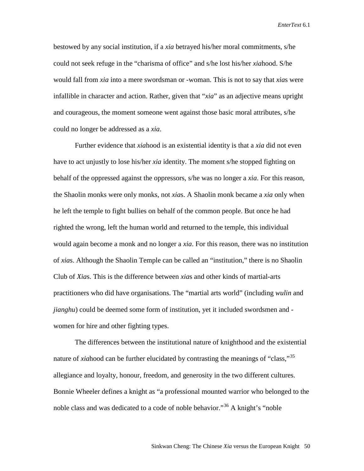bestowed by any social institution, if a *xia* betrayed his/her moral commitments, s/he could not seek refuge in the "charisma of office" and s/he lost his/her *xia*hood. S/he would fall from *xia* into a mere swordsman or -woman. This is not to say that *xia*s were infallible in character and action. Rather, given that "*xia*" as an adjective means upright and courageous, the moment someone went against those basic moral attributes, s/he could no longer be addressed as a *xia*.

Further evidence that *xia*hood is an existential identity is that a *xia* did not even have to act unjustly to lose his/her *xia* identity. The moment s/he stopped fighting on behalf of the oppressed against the oppressors, s/he was no longer a *xia*. For this reason, the Shaolin monks were only monks, not *xia*s. A Shaolin monk became a *xia* only when he left the temple to fight bullies on behalf of the common people. But once he had righted the wrong, left the human world and returned to the temple, this individual would again become a monk and no longer a *xia*. For this reason, there was no institution of *xia*s. Although the Shaolin Temple can be called an "institution," there is no Shaolin Club of *Xia*s. This is the difference between *xia*s and other kinds of martial-arts practitioners who did have organisations. The "martial arts world" (including *wulin* and *jianghu*) could be deemed some form of institution, yet it included swordsmen and women for hire and other fighting types.

The differences between the institutional nature of knighthood and the existential nature of *xiahood* can be further elucidated by contrasting the meanings of "class,"<sup>[35](#page-33-1)</sup> allegiance and loyalty, honour, freedom, and generosity in the two different cultures. Bonnie Wheeler defines a knight as "a professional mounted warrior who belonged to the noble class and was dedicated to a code of noble behavior."<sup>[36](#page-33-4)</sup> A knight's "noble"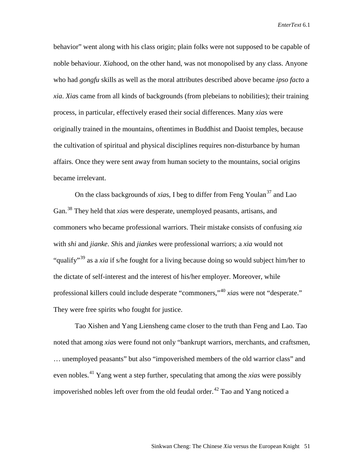behavior" went along with his class origin; plain folks were not supposed to be capable of noble behaviour. *Xia*hood, on the other hand, was not monopolised by any class. Anyone who had *gongfu* skills as well as the moral attributes described above became *ipso facto* a *xia*. *Xia*s came from all kinds of backgrounds (from plebeians to nobilities); their training process, in particular, effectively erased their social differences. Many *xia*s were originally trained in the mountains, oftentimes in Buddhist and Daoist temples, because the cultivation of spiritual and physical disciplines requires non-disturbance by human affairs. Once they were sent away from human society to the mountains, social origins became irrelevant.

On the class backgrounds of *xias*, I beg to differ from Feng Youlan<sup>[37](#page-33-5)</sup> and Lao Gan.[38](#page-33-18) They held that *xia*s were desperate, unemployed peasants, artisans, and commoners who became professional warriors. Their mistake consists of confusing *xia*  with *shi* and *jianke*. *Shi*s and *jianke*s were professional warriors; a *xia* would not "qualify"[39](#page-33-6) as a *xia* if s/he fought for a living because doing so would subject him/her to the dictate of self-interest and the interest of his/her employer. Moreover, while professional killers could include desperate "commoners,"[40](#page-33-8) *xia*s were not "desperate." They were free spirits who fought for justice.

Tao Xishen and Yang Liensheng came closer to the truth than Feng and Lao. Tao noted that among *xia*s were found not only "bankrupt warriors, merchants, and craftsmen, … unemployed peasants" but also "impoverished members of the old warrior class" and even nobles.[41](#page-33-19) Yang went a step further, speculating that among the *xias* were possibly impoverished nobles left over from the old feudal order.<sup>[42](#page-33-20)</sup> Tao and Yang noticed a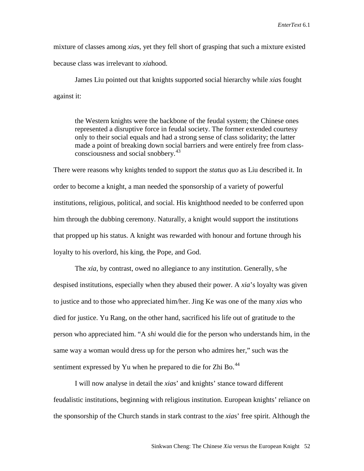mixture of classes among *xia*s, yet they fell short of grasping that such a mixture existed because class was irrelevant to *xia*hood.

James Liu pointed out that knights supported social hierarchy while *xia*s fought against it:

the Western knights were the backbone of the feudal system; the Chinese ones represented a disruptive force in feudal society. The former extended courtesy only to their social equals and had a strong sense of class solidarity; the latter made a point of breaking down social barriers and were entirely free from class-consciousness and social snobbery.<sup>[43](#page-33-21)</sup>

There were reasons why knights tended to support the *status quo* as Liu described it. In order to become a knight, a man needed the sponsorship of a variety of powerful institutions, religious, political, and social. His knighthood needed to be conferred upon him through the dubbing ceremony. Naturally, a knight would support the institutions that propped up his status. A knight was rewarded with honour and fortune through his loyalty to his overlord, his king, the Pope, and God.

The *xia*, by contrast, owed no allegiance to any institution. Generally, s/he despised institutions, especially when they abused their power. A *xia*'s loyalty was given to justice and to those who appreciated him/her. Jing Ke was one of the many *xia*s who died for justice. Yu Rang, on the other hand, sacrificed his life out of gratitude to the person who appreciated him. "A *shi* would die for the person who understands him, in the same way a woman would dress up for the person who admires her," such was the sentiment expressed by Yu when he prepared to die for Zhi Bo. $^{44}$  $^{44}$  $^{44}$ 

I will now analyse in detail the *xia*s' and knights' stance toward different feudalistic institutions, beginning with religious institution. European knights' reliance on the sponsorship of the Church stands in stark contrast to the *xia*s' free spirit. Although the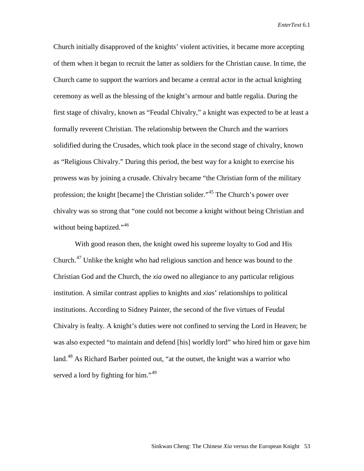Church initially disapproved of the knights' violent activities, it became more accepting of them when it began to recruit the latter as soldiers for the Christian cause. In time, the Church came to support the warriors and became a central actor in the actual knighting ceremony as well as the blessing of the knight's armour and battle regalia. During the first stage of chivalry, known as "Feudal Chivalry," a knight was expected to be at least a formally reverent Christian. The relationship between the Church and the warriors solidified during the Crusades, which took place in the second stage of chivalry, known as "Religious Chivalry." During this period, the best way for a knight to exercise his prowess was by joining a crusade. Chivalry became "the Christian form of the military profession; the knight [became] the Christian solider."[45](#page-33-23) The Church's power over chivalry was so strong that "one could not become a knight without being Christian and without being baptized."<sup>[46](#page-33-24)</sup>

With good reason then, the knight owed his supreme loyalty to God and His Church.[47](#page-33-25) Unlike the knight who had religious sanction and hence was bound to the Christian God and the Church, the *xia* owed no allegiance to any particular religious institution. A similar contrast applies to knights and *xia*s' relationships to political institutions. According to Sidney Painter, the second of the five virtues of Feudal Chivalry is fealty. A knight's duties were not confined to serving the Lord in Heaven; he was also expected "to maintain and defend [his] worldly lord" who hired him or gave him land.<sup>[48](#page-33-26)</sup> As Richard Barber pointed out, "at the outset, the knight was a warrior who served a lord by fighting for him."<sup>[49](#page-33-27)</sup>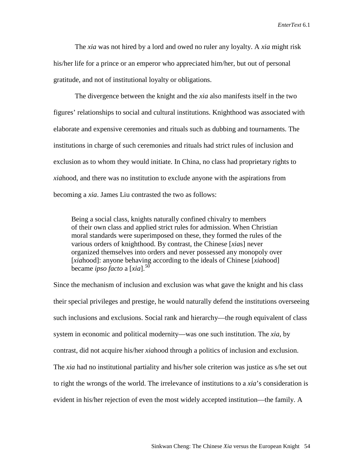The *xia* was not hired by a lord and owed no ruler any loyalty. A *xia* might risk his/her life for a prince or an emperor who appreciated him/her, but out of personal gratitude, and not of institutional loyalty or obligations.

The divergence between the knight and the *xia* also manifests itself in the two figures' relationships to social and cultural institutions. Knighthood was associated with elaborate and expensive ceremonies and rituals such as dubbing and tournaments. The institutions in charge of such ceremonies and rituals had strict rules of inclusion and exclusion as to whom they would initiate. In China, no class had proprietary rights to *xia*hood, and there was no institution to exclude anyone with the aspirations from becoming a *xia*. James Liu contrasted the two as follows:

 Being a social class, knights naturally confined chivalry to members of their own class and applied strict rules for admission. When Christian moral standards were superimposed on these, they formed the rules of the various orders of knighthood. By contrast, the Chinese [*xia*s] never organized themselves into orders and never possessed any monopoly over [*xia*hood]: anyone behaving according to the ideals of Chinese [*xia*hood] became *ipso facto* a [*xia*].[50](#page-33-28)

Since the mechanism of inclusion and exclusion was what gave the knight and his class their special privileges and prestige, he would naturally defend the institutions overseeing such inclusions and exclusions. Social rank and hierarchy—the rough equivalent of class system in economic and political modernity—was one such institution. The *xia*, by contrast, did not acquire his/her *xia*hood through a politics of inclusion and exclusion. The *xia* had no institutional partiality and his/her sole criterion was justice as s/he set out to right the wrongs of the world. The irrelevance of institutions to a *xia*'s consideration is evident in his/her rejection of even the most widely accepted institution—the family. A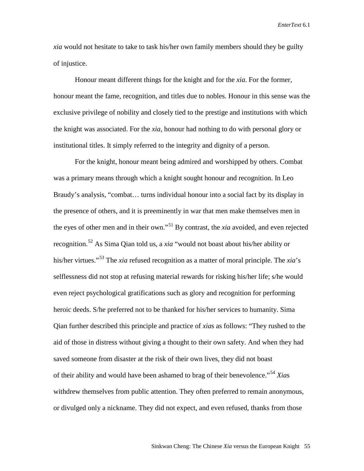*xia* would not hesitate to take to task his/her own family members should they be guilty of injustice.

Honour meant different things for the knight and for the *xia*. For the former, honour meant the fame, recognition, and titles due to nobles. Honour in this sense was the exclusive privilege of nobility and closely tied to the prestige and institutions with which the knight was associated. For the *xia*, honour had nothing to do with personal glory or institutional titles. It simply referred to the integrity and dignity of a person.

For the knight, honour meant being admired and worshipped by others. Combat was a primary means through which a knight sought honour and recognition. In Leo Braudy's analysis, "combat… turns individual honour into a social fact by its display in the presence of others, and it is preeminently in war that men make themselves men in the eyes of other men and in their own."[51](#page-33-29) By contrast, the *xia* avoided, and even rejected recognition.[52](#page-33-30) As Sima Qian told us, a *xia* "would not boast about his/her ability or his/her virtues."[53](#page-33-31) The *xia* refused recognition as a matter of moral principle. The *xia*'s selflessness did not stop at refusing material rewards for risking his/her life; s/he would even reject psychological gratifications such as glory and recognition for performing heroic deeds. S/he preferred not to be thanked for his/her services to humanity. Sima Qian further described this principle and practice of *xia*s as follows: "They rushed to the aid of those in distress without giving a thought to their own safety. And when they had saved someone from disaster at the risk of their own lives, they did not boast of their ability and would have been ashamed to brag of their benevolence."[54](#page-33-32) *Xia*s withdrew themselves from public attention. They often preferred to remain anonymous, or divulged only a nickname. They did not expect, and even refused, thanks from those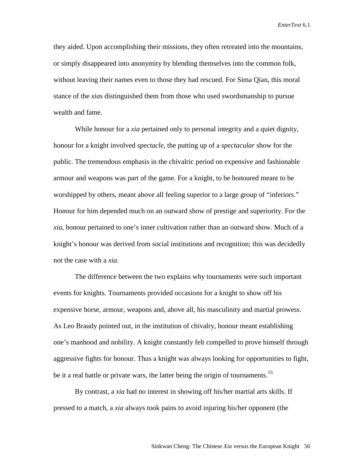they aided. Upon accomplishing their missions, they often retreated into the mountains, or simply disappeared into anonymity by blending themselves into the common folk, without leaving their names even to those they had rescued. For Sima Qian, this moral stance of the *xia*s distinguished them from those who used swordsmanship to pursue wealth and fame.

While honour for a *xia* pertained only to personal integrity and a quiet dignity, honour for a knight involved *spectacle*, the putting up of a *spectacular* show for the public. The tremendous emphasis in the chivalric period on expensive and fashionable armour and weapons was part of the game. For a knight, to be honoured meant to be worshipped by others, meant above all feeling superior to a large group of "inferiors." Honour for him depended much on an outward show of prestige and superiority. For the *xia*, honour pertained to one's inner cultivation rather than an outward show. Much of a knight's honour was derived from social institutions and recognition; this was decidedly not the case with a *xia*.

The difference between the two explains why tournaments were such important events for knights. Tournaments provided occasions for a knight to show off his expensive horse, armour, weapons and, above all, his masculinity and martial prowess. As Leo Braudy pointed out, in the institution of chivalry, honour meant establishing one's manhood and nobility. A knight constantly felt compelled to prove himself through aggressive fights for honour. Thus a knight was always looking for opportunities to fight, be it a real battle or private wars, the latter being the origin of tournaments.<sup>[55](#page-33-33)</sup>

By contrast, a *xia* had no interest in showing off his/her martial arts skills. If pressed to a match, a *xia* always took pains to avoid injuring his/her opponent (the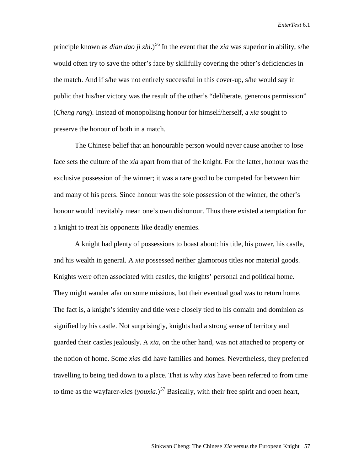principle known as *dian dao ji zhi*.)<sup>[56](#page-33-34)</sup> In the event that the *xia* was superior in ability, s/he would often try to save the other's face by skillfully covering the other's deficiencies in the match. And if s/he was not entirely successful in this cover-up, s/he would say in public that his/her victory was the result of the other's "deliberate, generous permission" (*Cheng rang*). Instead of monopolising honour for himself/herself, a *xia* sought to preserve the honour of both in a match.

The Chinese belief that an honourable person would never cause another to lose face sets the culture of the *xia* apart from that of the knight. For the latter, honour was the exclusive possession of the winner; it was a rare good to be competed for between him and many of his peers. Since honour was the sole possession of the winner, the other's honour would inevitably mean one's own dishonour. Thus there existed a temptation for a knight to treat his opponents like deadly enemies.

A knight had plenty of possessions to boast about: his title, his power, his castle, and his wealth in general. A *xia* possessed neither glamorous titles nor material goods. Knights were often associated with castles, the knights' personal and political home. They might wander afar on some missions, but their eventual goal was to return home. The fact is, a knight's identity and title were closely tied to his domain and dominion as signified by his castle. Not surprisingly, knights had a strong sense of territory and guarded their castles jealously. A *xia*, on the other hand, was not attached to property or the notion of home. Some *xia*s did have families and homes. Nevertheless, they preferred travelling to being tied down to a place. That is why *xia*s have been referred to from time to time as the wayfarer-*xia*s (*youxia*.)<sup>[57](#page-33-35)</sup> Basically, with their free spirit and open heart,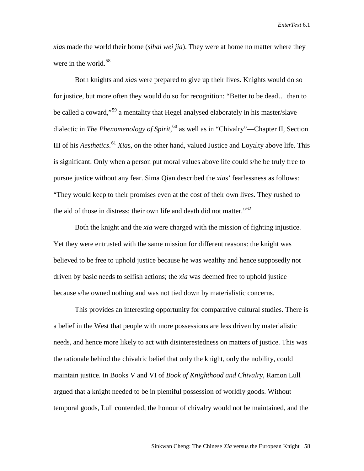*xia*s made the world their home (*sihai wei jia*). They were at home no matter where they were in the world.<sup>[58](#page-33-36)</sup>

Both knights and *xia*s were prepared to give up their lives. Knights would do so for justice, but more often they would do so for recognition: "Better to be dead… than to be called a coward,"<sup>[59](#page-33-37)</sup> a mentality that Hegel analysed elaborately in his master/slave dialectic in *The Phenomenology of Spirit*, [60](#page-33-38) as well as in "Chivalry"—Chapter II, Section III of his *Aesthetics*. [61](#page-33-39) *Xia*s, on the other hand, valued Justice and Loyalty above life. This is significant. Only when a person put moral values above life could s/he be truly free to pursue justice without any fear. Sima Qian described the *xia*s' fearlessness as follows: "They would keep to their promises even at the cost of their own lives. They rushed to the aid of those in distress; their own life and death did not matter."<sup>[62](#page-33-40)</sup>

Both the knight and the *xia* were charged with the mission of fighting injustice. Yet they were entrusted with the same mission for different reasons: the knight was believed to be free to uphold justice because he was wealthy and hence supposedly not driven by basic needs to selfish actions; the *xia* was deemed free to uphold justice because s/he owned nothing and was not tied down by materialistic concerns.

This provides an interesting opportunity for comparative cultural studies. There is a belief in the West that people with more possessions are less driven by materialistic needs, and hence more likely to act with disinterestedness on matters of justice. This was the rationale behind the chivalric belief that only the knight, only the nobility, could maintain justice. In Books V and VI of *Book of Knighthood and Chivalry*, Ramon Lull argued that a knight needed to be in plentiful possession of worldly goods. Without temporal goods, Lull contended, the honour of chivalry would not be maintained, and the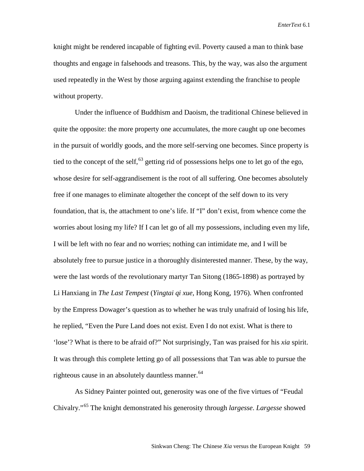knight might be rendered incapable of fighting evil. Poverty caused a man to think base thoughts and engage in falsehoods and treasons. This, by the way, was also the argument used repeatedly in the West by those arguing against extending the franchise to people without property.

Under the influence of Buddhism and Daoism, the traditional Chinese believed in quite the opposite: the more property one accumulates, the more caught up one becomes in the pursuit of worldly goods, and the more self-serving one becomes. Since property is tied to the concept of the self,  $^{63}$  $^{63}$  $^{63}$  getting rid of possessions helps one to let go of the ego, whose desire for self-aggrandisement is the root of all suffering. One becomes absolutely free if one manages to eliminate altogether the concept of the self down to its very foundation, that is, the attachment to one's life. If "I" don't exist, from whence come the worries about losing my life? If I can let go of all my possessions, including even my life, I will be left with no fear and no worries; nothing can intimidate me, and I will be absolutely free to pursue justice in a thoroughly disinterested manner. These, by the way, were the last words of the revolutionary martyr Tan Sitong (1865-1898) as portrayed by Li Hanxiang in *The Last Tempest* (*Yingtai qi xue*, Hong Kong, 1976). When confronted by the Empress Dowager's question as to whether he was truly unafraid of losing his life, he replied, "Even the Pure Land does not exist. Even I do not exist. What is there to 'lose'? What is there to be afraid of?" Not surprisingly, Tan was praised for his *xia* spirit. It was through this complete letting go of all possessions that Tan was able to pursue the righteous cause in an absolutely dauntless manner.  $64$ 

As Sidney Painter pointed out, generosity was one of the five virtues of "Feudal Chivalry."[65](#page-33-43) The knight demonstrated his generosity through *largesse*. *Largesse* showed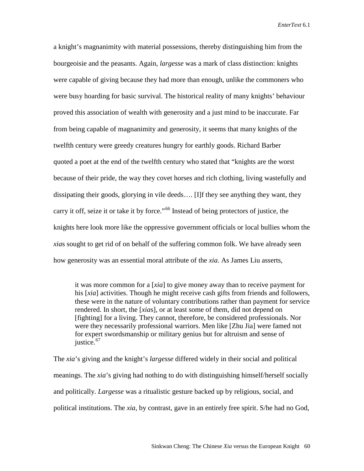a knight's magnanimity with material possessions, thereby distinguishing him from the bourgeoisie and the peasants. Again, *largesse* was a mark of class distinction: knights were capable of giving because they had more than enough, unlike the commoners who were busy hoarding for basic survival. The historical reality of many knights' behaviour proved this association of wealth with generosity and a just mind to be inaccurate. Far from being capable of magnanimity and generosity, it seems that many knights of the twelfth century were greedy creatures hungry for earthly goods. Richard Barber quoted a poet at the end of the twelfth century who stated that "knights are the worst because of their pride, the way they covet horses and rich clothing, living wastefully and dissipating their goods, glorying in vile deeds…. [I]f they see anything they want, they carry it off, seize it or take it by force."<sup>[66](#page-33-44)</sup> Instead of being protectors of justice, the knights here look more like the oppressive government officials or local bullies whom the *xia*s sought to get rid of on behalf of the suffering common folk. We have already seen how generosity was an essential moral attribute of the *xia*. As James Liu asserts,

it was more common for a [*xia*] to give money away than to receive payment for his [*xia*] activities. Though he might receive cash gifts from friends and followers, these were in the nature of voluntary contributions rather than payment for service rendered. In short, the [*xia*s], or at least some of them, did not depend on [fighting] for a living. They cannot, therefore, be considered professionals. Nor were they necessarily professional warriors. Men like [Zhu Jia] were famed not for expert swordsmanship or military genius but for altruism and sense of justice.<sup>[67](#page-33-45)</sup>

The *xia*'s giving and the knight's *largesse* differed widely in their social and political meanings. The *xia*'s giving had nothing to do with distinguishing himself/herself socially and politically. *Largesse* was a ritualistic gesture backed up by religious, social, and political institutions. The *xia*, by contrast, gave in an entirely free spirit. S/he had no God,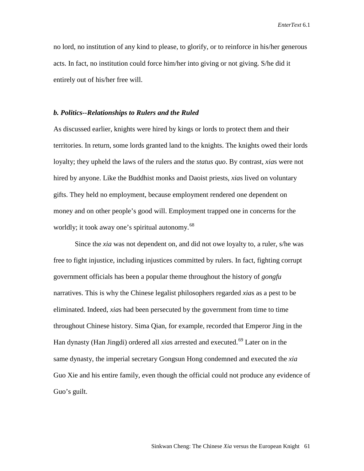no lord, no institution of any kind to please, to glorify, or to reinforce in his/her generous acts. In fact, no institution could force him/her into giving or not giving. S/he did it entirely out of his/her free will.

# *b. Politics--Relationships to Rulers and the Ruled*

As discussed earlier, knights were hired by kings or lords to protect them and their territories. In return, some lords granted land to the knights. The knights owed their lords loyalty; they upheld the laws of the rulers and the *status quo*. By contrast, *xia*s were not hired by anyone. Like the Buddhist monks and Daoist priests, *xia*s lived on voluntary gifts. They held no employment, because employment rendered one dependent on money and on other people's good will. Employment trapped one in concerns for the worldly; it took away one's spiritual autonomy.<sup>[68](#page-33-46)</sup>

Since the *xia* was not dependent on, and did not owe loyalty to, a ruler, s/he was free to fight injustice, including injustices committed by rulers. In fact, fighting corrupt government officials has been a popular theme throughout the history of *gongfu*  narratives. This is why the Chinese legalist philosophers regarded *xia*s as a pest to be eliminated. Indeed, *xia*s had been persecuted by the government from time to time throughout Chinese history. Sima Qian, for example, recorded that Emperor Jing in the Han dynasty (Han Jingdi) ordered all *xia*s arrested and executed.<sup>[69](#page-33-4)</sup> Later on in the same dynasty, the imperial secretary Gongsun Hong condemned and executed the *xia*  Guo Xie and his entire family, even though the official could not produce any evidence of Guo's guilt.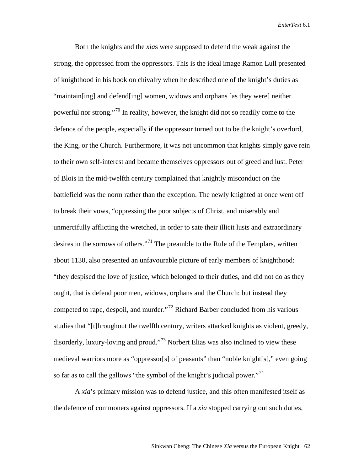Both the knights and the *xia*s were supposed to defend the weak against the strong, the oppressed from the oppressors. This is the ideal image Ramon Lull presented of knighthood in his book on chivalry when he described one of the knight's duties as "maintain[ing] and defend[ing] women, widows and orphans [as they were] neither powerful nor strong."<sup>[70](#page-33-5)</sup> In reality, however, the knight did not so readily come to the defence of the people, especially if the oppressor turned out to be the knight's overlord, the King, or the Church. Furthermore, it was not uncommon that knights simply gave rein to their own self-interest and became themselves oppressors out of greed and lust. Peter of Blois in the mid-twelfth century complained that knightly misconduct on the battlefield was the norm rather than the exception. The newly knighted at once went off to break their vows, "oppressing the poor subjects of Christ, and miserably and unmercifully afflicting the wretched, in order to sate their illicit lusts and extraordinary desires in the sorrows of others."<sup>[71](#page-33-18)</sup> The preamble to the Rule of the Templars, written about 1130, also presented an unfavourable picture of early members of knighthood: "they despised the love of justice, which belonged to their duties, and did not do as they ought, that is defend poor men, widows, orphans and the Church: but instead they competed to rape, despoil, and murder."[72](#page-33-6) Richard Barber concluded from his various studies that "[t]hroughout the twelfth century, writers attacked knights as violent, greedy, disorderly, luxury-loving and proud."<sup>[73](#page-33-7)</sup> Norbert Elias was also inclined to view these medieval warriors more as "oppressor[s] of peasants" than "noble knight[s]," even going so far as to call the gallows "the symbol of the knight's judicial power."<sup>[74](#page-33-8)</sup>

A *xia*'s primary mission was to defend justice, and this often manifested itself as the defence of commoners against oppressors. If a *xia* stopped carrying out such duties,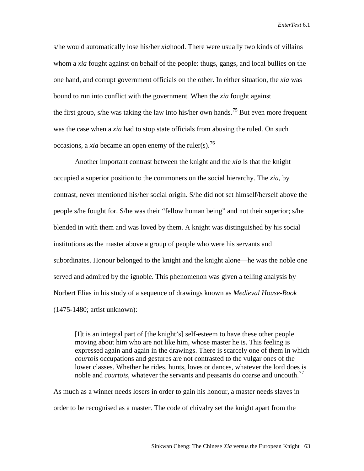s/he would automatically lose his/her *xia*hood. There were usually two kinds of villains whom a *xia* fought against on behalf of the people: thugs, gangs, and local bullies on the one hand, and corrupt government officials on the other. In either situation, the *xia* was bound to run into conflict with the government. When the *xia* fought against the first group, s/he was taking the law into his/her own hands.<sup>[75](#page-33-19)</sup> But even more frequent was the case when a *xia* had to stop state officials from abusing the ruled. On such occasions, a *xia* became an open enemy of the ruler(s).<sup>[76](#page-33-25)</sup>

Another important contrast between the knight and the *xia* is that the knight occupied a superior position to the commoners on the social hierarchy. The *xia*, by contrast, never mentioned his/her social origin. S/he did not set himself/herself above the people s/he fought for. S/he was their "fellow human being" and not their superior; s/he blended in with them and was loved by them. A knight was distinguished by his social institutions as the master above a group of people who were his servants and subordinates. Honour belonged to the knight and the knight alone—he was the noble one served and admired by the ignoble. This phenomenon was given a telling analysis by Norbert Elias in his study of a sequence of drawings known as *Medieval House-Book*  (1475-1480; artist unknown):

[I]t is an integral part of [the knight's] self-esteem to have these other people moving about him who are not like him, whose master he is. This feeling is expressed again and again in the drawings. There is scarcely one of them in which *courtois* occupations and gestures are not contrasted to the vulgar ones of the lower classes. Whether he rides, hunts, loves or dances, whatever the lord does is noble and *courtois*, whatever the servants and peasants do coarse and uncouth.<sup>[77](#page-33-27)</sup>

As much as a winner needs losers in order to gain his honour, a master needs slaves in order to be recognised as a master. The code of chivalry set the knight apart from the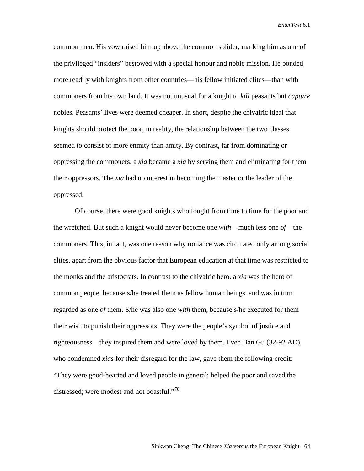common men. His vow raised him up above the common solider, marking him as one of the privileged "insiders" bestowed with a special honour and noble mission. He bonded more readily with knights from other countries—his fellow initiated elites—than with commoners from his own land. It was not unusual for a knight to *kill* peasants but *capture* nobles. Peasants' lives were deemed cheaper. In short, despite the chivalric ideal that knights should protect the poor, in reality, the relationship between the two classes seemed to consist of more enmity than amity. By contrast, far from dominating or oppressing the commoners, a *xia* became a *xia* by serving them and eliminating for them their oppressors. The *xia* had no interest in becoming the master or the leader of the oppressed.

Of course, there were good knights who fought from time to time for the poor and the wretched. But such a knight would never become one *with*—much less one *of*—the commoners. This, in fact, was one reason why romance was circulated only among social elites, apart from the obvious factor that European education at that time was restricted to the monks and the aristocrats. In contrast to the chivalric hero, a *xia* was the hero of common people, because s/he treated them as fellow human beings, and was in turn regarded as one *of* them. S/he was also one *with* them, because s/he executed for them their wish to punish their oppressors. They were the people's symbol of justice and righteousness—they inspired them and were loved by them. Even Ban Gu (32-92 AD), who condemned *xias* for their disregard for the law, gave them the following credit: "They were good-hearted and loved people in general; helped the poor and saved the distressed; were modest and not boastful."<sup>[78](#page-33-28)</sup>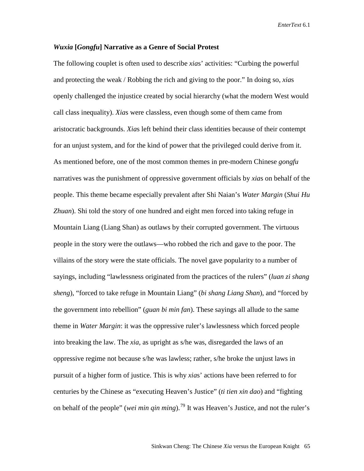## *Wuxia* **[***Gongfu***] Narrative as a Genre of Social Protest**

The following couplet is often used to describe *xia*s' activities: "Curbing the powerful and protecting the weak / Robbing the rich and giving to the poor." In doing so, *xia*s openly challenged the injustice created by social hierarchy (what the modern West would call class inequality). *Xia*s were classless, even though some of them came from aristocratic backgrounds. *Xia*s left behind their class identities because of their contempt for an unjust system, and for the kind of power that the privileged could derive from it. As mentioned before, one of the most common themes in pre-modern Chinese *gongfu*  narratives was the punishment of oppressive government officials by *xia*s on behalf of the people. This theme became especially prevalent after Shi Naian's *Water Margin* (*Shui Hu Zhuan*). Shi told the story of one hundred and eight men forced into taking refuge in Mountain Liang (Liang Shan) as outlaws by their corrupted government. The virtuous people in the story were the outlaws—who robbed the rich and gave to the poor. The villains of the story were the state officials. The novel gave popularity to a number of sayings, including "lawlessness originated from the practices of the rulers" (*luan zi shang sheng*), "forced to take refuge in Mountain Liang" (*bi shang Liang Shan*), and "forced by the government into rebellion" (*guan bi min fan*). These sayings all allude to the same theme in *Water Margin*: it was the oppressive ruler's lawlessness which forced people into breaking the law. The *xia*, as upright as s/he was, disregarded the laws of an oppressive regime not because s/he was lawless; rather, s/he broke the unjust laws in pursuit of a higher form of justice. This is why *xia*s' actions have been referred to for centuries by the Chinese as "executing Heaven's Justice" (*ti tien xin dao*) and "fighting on behalf of the people" (*wei min qin ming*).[79](#page-33-29) It was Heaven's Justice, and not the ruler's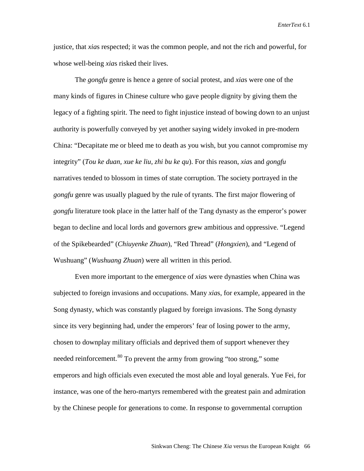justice, that *xia*s respected; it was the common people, and not the rich and powerful, for whose well-being *xia*s risked their lives.

The *gongfu* genre is hence a genre of social protest, and *xia*s were one of the many kinds of figures in Chinese culture who gave people dignity by giving them the legacy of a fighting spirit. The need to fight injustice instead of bowing down to an unjust authority is powerfully conveyed by yet another saying widely invoked in pre-modern China: "Decapitate me or bleed me to death as you wish, but you cannot compromise my integrity" (*Tou ke duan, xue ke liu, zhi bu ke qu*). For this reason, *xia*s and *gongfu* narratives tended to blossom in times of state corruption. The society portrayed in the *gongfu* genre was usually plagued by the rule of tyrants. The first major flowering of *gongfu* literature took place in the latter half of the Tang dynasty as the emperor's power began to decline and local lords and governors grew ambitious and oppressive. "Legend of the Spikebearded" (*Chiuyenke Zhuan*), "Red Thread" (*Hongxien*), and "Legend of Wushuang" (*Wushuang Zhuan*) were all written in this period.

Even more important to the emergence of *xia*s were dynasties when China was subjected to foreign invasions and occupations. Many *xia*s, for example, appeared in the Song dynasty, which was constantly plagued by foreign invasions. The Song dynasty since its very beginning had, under the emperors' fear of losing power to the army, chosen to downplay military officials and deprived them of support whenever they needed reinforcement.<sup>[80](#page-33-32)</sup> To prevent the army from growing "too strong," some emperors and high officials even executed the most able and loyal generals. Yue Fei, for instance, was one of the hero-martyrs remembered with the greatest pain and admiration by the Chinese people for generations to come. In response to governmental corruption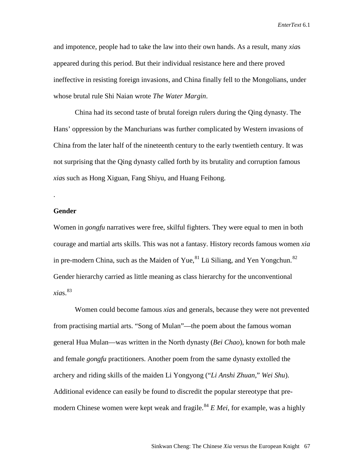and impotence, people had to take the law into their own hands. As a result, many *xia*s appeared during this period. But their individual resistance here and there proved ineffective in resisting foreign invasions, and China finally fell to the Mongolians, under whose brutal rule Shi Naian wrote *The Water Margin*.

China had its second taste of brutal foreign rulers during the Qing dynasty. The Hans' oppression by the Manchurians was further complicated by Western invasions of China from the later half of the nineteenth century to the early twentieth century. It was not surprising that the Qing dynasty called forth by its brutality and corruption famous *xia*s such as Hong Xiguan, Fang Shiyu, and Huang Feihong.

#### **Gender**

.

Women in *gongfu* narratives were free, skilful fighters. They were equal to men in both courage and martial arts skills. This was not a fantasy. History records famous women *xia*  in pre-modern China, such as the Maiden of Yue,  $81$  Lü Siliang, and Yen Yongchun.<sup>[82](#page-33-48)</sup> Gender hierarchy carried as little meaning as class hierarchy for the unconventional  $xias.<sup>83</sup>$  $xias.<sup>83</sup>$  $xias.<sup>83</sup>$ 

Women could become famous *xia*s and generals, because they were not prevented from practising martial arts. "Song of Mulan"—the poem about the famous woman general Hua Mulan—was written in the North dynasty (*Bei Chao*), known for both male and female *gongfu* practitioners. Another poem from the same dynasty extolled the archery and riding skills of the maiden Li Yongyong ("*Li Anshi Zhuan*," *Wei Shu*). Additional evidence can easily be found to discredit the popular stereotype that pre-modern Chinese women were kept weak and fragile.<sup>[84](#page-33-3)</sup>  $E$  Mei, for example, was a highly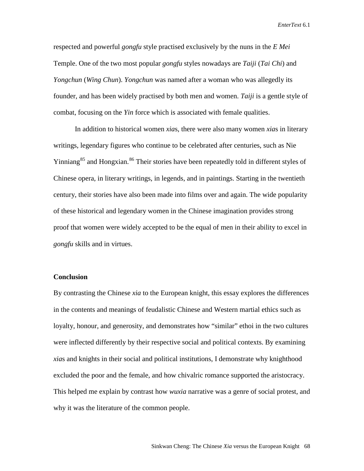respected and powerful *gongfu* style practised exclusively by the nuns in the *E Mei* Temple. One of the two most popular *gongfu* styles nowadays are *Taiji* (*Tai Chi*) and *Yongchun* (*Wing Chun*). *Yongchun* was named after a woman who was allegedly its founder, and has been widely practised by both men and women. *Taiji* is a gentle style of combat, focusing on the *Yin* force which is associated with female qualities.

In addition to historical women *xia*s, there were also many women *xia*s in literary writings, legendary figures who continue to be celebrated after centuries, such as Nie Yinniang<sup>[85](#page-33-7)</sup> and Hongxian.<sup>[86](#page-33-8)</sup> Their stories have been repeatedly told in different styles of Chinese opera, in literary writings, in legends, and in paintings. Starting in the twentieth century, their stories have also been made into films over and again. The wide popularity of these historical and legendary women in the Chinese imagination provides strong proof that women were widely accepted to be the equal of men in their ability to excel in *gongfu* skills and in virtues.

# **Conclusion**

By contrasting the Chinese *xia* to the European knight, this essay explores the differences in the contents and meanings of feudalistic Chinese and Western martial ethics such as loyalty, honour, and generosity, and demonstrates how "similar" ethoi in the two cultures were inflected differently by their respective social and political contexts. By examining *xia*s and knights in their social and political institutions, I demonstrate why knighthood excluded the poor and the female, and how chivalric romance supported the aristocracy. This helped me explain by contrast how *wuxia* narrative was a genre of social protest, and why it was the literature of the common people.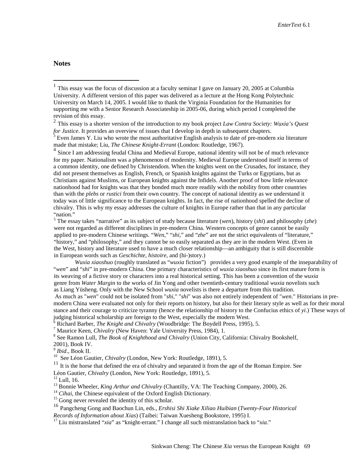**Notes**

<span id="page-29-1"></span><sup>2</sup> This essay is a shorter version of the introduction to my book project *Law Contra Society: Wuxia's Quest for Justice*. It provides an overview of issues that I develop in depth in subsequent chapters.

<sup>4</sup> Since I am addressing feudal China and Medieval Europe, national identity will not be of much relevance for my paper. Nationalism was a phenomenon of modernity. Medieval Europe understood itself in terms of a common identity, one defined by Christendom. When the knights went on the Crusades, for instance, they did not present themselves as English, French, or Spanish knights against the Turks or Egyptians, but as Christians against Muslims, or European knights against the Infidels. Another proof of how little relevance nationhood had for knights was that they bonded much more readily with the nobility from other countries than with the *plebs* or *rustici* from their own country. The concept of national identity as we understand it today was of little significance to the European knights. In fact, the rise of nationhood spelled the decline of chivalry. This is why my essay addresses the culture of knights in Europe rather than that in any particular "nation."

 <sup>5</sup> The essay takes "narrative" as its subject of study because literature (*wen*), history (*shi*) and philosophy (*zhe*) were not regarded as different disciplines in pre-modern China. Western concepts of genre cannot be easily applied to pre-modern Chinese writings. "*Wen*," "*shi*," and "*zhe*" are not the strict equivalents of "literature," "history," and "philosophy," and they cannot be so easily separated as they are in the modern West. (Even in the West, history and literature used to have a much closer relationship—an ambiguity that is still discernible in European words such as *Geschichte*, *histoire*, and (hi-)story.)

*Wuxia xiaoshuo* (roughly translated as "*wuxia* fiction") provides a very good example of the inseparability of "*wen*" and "*shi*" in pre-modern China. One primary characteristics of *wuxia xiaoshuo* since its first mature form is its weaving of a fictive story or characters into a real historical setting. This has been a convention of the *wuxia* genre from *Water Margin* to the works of Jin Yong and other twentieth-century traditional *wuxia* novelists such as Liang Yüsheng. Only with the New School *wuxia* novelists is there a departure from this tradition.

As much as "*wen*" could not be isolated from "*shi*," "*shi*" was also not entirely independent of "*wen*." Historians in premodern China were evaluated not only for their reports on history, but also for their literary style as well as for their moral stance and their courage to criticize tyranny (hence the relationship of history to the Confucius ethics of *yi*.) These ways of judging historical scholarship are foreign to the West, especially the modern West.<br><sup>6</sup> Richard Barber, *The Knight and Chivalry* (Woodbridge: The Boydell Press, 1995), 5.

<sup>7</sup> Maurice Keen, *Chivalry* (New Haven: Yale University Press, 1984), 1.<br><sup>8</sup> See Ramon Lull, *The Book of Knighthood and Chivalry* (Union City, California: Chivalry Bookshelf,

2001), Book IV.<br> $\frac{9}{7}$ *Ibid.*, Book II.

<sup>10</sup> See Léon Gautier, *Chivalry* (London, New York: Routledge, 1891), 5.

 $11$  It is the horse that defined the era of chivalry and separated it from the age of the Roman Empire. See Léon Gautier, *Chivalry* (London, New York: Routledge, 1891), 5.<br><sup>12</sup> Lull, 16.<br><sup>13</sup> Bonnie Wheeler, *King Arthur and Chivalry* (Chantilly, VA: The Teaching Company, 2000), 26.<br><sup>14</sup> *Cihai*, the Chinese equivalent of the

<sup>16</sup> Pangcheng Gong and Baochun Lin, eds., *Ershisi Shi Xiake Xiliao Huibian* (*Twenty-Four Historical* 

<sup>17</sup> Liu mistranslated "*xia*" as "knight-errant." I change all such mistranslation back to "*xia*."

<span id="page-29-0"></span><sup>&</sup>lt;sup>1</sup> This essay was the focus of discussion at a faculty seminar I gave on January 20, 2005 at Columbia University. A different version of this paper was delivered as a lecture at the Hong Kong Polytechnic University on March 14, 2005. I would like to thank the Virginia Foundation for the Humanities for supporting me with a Senior Research Associateship in 2005-06, during which period I completed the revision of this essay.

<span id="page-29-2"></span>Even James Y. Liu who wrote the most authoritative English analysis to date of pre-modern *xia* literature made that mistake; Liu, *The Chinese Knight-Errant* (London: Routledge, 1967).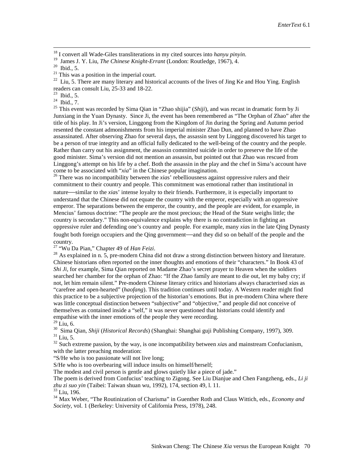<sup>18</sup> I convert all Wade-Giles transliterations in my cited sources into *hanyu pinyin*.<br><sup>19</sup> James J. Y. Liu, *The Chinese Knight-Errant* (London: Routledge, 1967), 4.<br><sup>20</sup> Ibid., 5.<br><sup>21</sup> This was a position in the imperi

<sup>23</sup> Ibid., 5.<br><sup>24</sup> Ibid., 7.<br><sup>25</sup> This event was recorded by Sima Qian in "Zhao shijia" (*Shiji*), and was recast in dramatic form by Ji Junxiang in the Yuan Dynasty. Since Ji, the event has been remembered as "The Orphan of Zhao" after the title of his play. In Ji's version, Linggong from the Kingdom of Jin during the Spring and Autumn period resented the constant admonishments from his imperial minister Zhao Dun, and planned to have Zhao assassinated. After observing Zhao for several days, the assassin sent by Linggong discovered his target to be a person of true integrity and an official fully dedicated to the well-being of the country and the people. Rather than carry out his assignment, the assassin committed suicide in order to preserve the life of the good minister. Sima's version did not mention an assassin, but pointed out that Zhao was rescued from Linggong's attempt on his life by a chef. Both the assassin in the play and the chef in Sima's account have come to be associated with " $xia$ " in the Chinese popular imagination.

<span id="page-30-0"></span><sup>26</sup> There was no incompatibility between the *xias*' rebelliousness against oppressive rulers and their commitment to their country and people. This commitment was emotional rather than institutional in nature—similar to the *xia*s' intense loyalty to their friends. Furthermore, it is especially important to understand that the Chinese did not equate the country with the emperor, especially with an oppressive emperor. The separations between the emperor, the country, and the people are evident, for example, in Mencius' famous doctrine: "The people are the most precious; the Head of the State weighs little; the country is secondary." This non-equivalence explains why there is no contradiction in fighting an oppressive ruler and defending one's country and people. For example, many *xia*s in the late Qing Dynasty fought both foreign occupiers and the Qing government—and they did so on behalf of the people and the country.<br><sup>27</sup> "Wu Da Pian," Chapter 49 of *Han Feizi*.

<span id="page-30-1"></span>

<sup>28</sup> As explained in n. 5, pre-modern China did not draw a strong distinction between history and literature. Chinese historians often reported on the inner thoughts and emotions of their "characters." In Book 43 of *Shi Ji*, for example, Sima Qian reported on Madame Zhao's secret prayer to Heaven when the soldiers searched her chamber for the orphan of Zhao: "If the Zhao family are meant to die out, let my baby cry; if not, let him remain silent." Pre-modern Chinese literary critics and historians always characterised *xia*s as "carefree and open-hearted" (*haofang*). This tradition continues until today. A Western reader might find this practice to be a subjective projection of the historian's emotions. But in pre-modern China where there was little conceptual distinction between "subjective" and "objective," and people did not conceive of themselves as contained inside a "self," it was never questioned that historians could identify and empathise with the inner emotions of the people they were recording.<br><sup>29</sup> I iu. 6.

<span id="page-30-2"></span>

<span id="page-30-3"></span><sup>30</sup> Sima Qian, *Shiji (Historical Records)* (Shanghai: Shanghai guji Publishing Company, 1997), 309.<br><sup>31</sup> Liu, 5.<br><sup>32</sup> Such extreme passion, by the way, is one incompatibility between *xias* and mainstream Confucianism,

with the latter preaching moderation:

"S/He who is too passionate will not live long;

S/He who is too overbearing will induce insults on himself/herself;

The modest and civil person is gentle and glows quietly like a piece of jade."

The poem is derived from Confucius' teaching to Zigong. See Liu Dianjue and Chen Fangzheng, eds., *Li ji* 

<sup>33</sup> Liu, 196.<br><sup>34</sup> Max Weber, "The Routinization of Charisma" in Guenther Roth and Claus Wittich, eds., *Economy and Society*, vol. 1 (Berkeley: University of California Press, 1978), 248.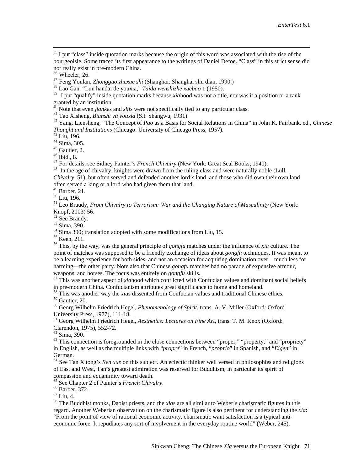$35$  I put "class" inside quotation marks because the origin of this word was associated with the rise of the bourgeoisie. Some traced its first appearance to the writings of Daniel Defoe. "Class" in this strict sense did not really exist in pre-modern China. <sup>36</sup> Wheeler, 26. <sup>37</sup> Feng Youlan, *Zhongguo zhexue shi* (Shanghai: Shanghai shu dian, 1990.) <sup>38</sup> Lao Gan, "Lun handai de youxia," *Taida wenshizhe xuebao* 1 (1950).

<sup>39</sup> I put "qualify" inside quotation marks because *xia*hood was not a title, nor was it a position or a rank granted by an institution.

<sup>40</sup> Note that even *jianke*s and *shi*s were not specifically tied to any particular class.

41 Tao Xisheng, *Bianshi yü youxia* (S.l: Shangwu, 1931).<br><sup>42</sup> Yang, Liensheng, "The Concept of *Pao* as a Basis for Social Relations in China" in John K. Fairbank, ed., *Chinese*<br>*Thought and Institutions* (Chicago: Unive

<sup>43</sup> Liu, 196.<br>
<sup>44</sup> Sima, 305.<br>
<sup>45</sup> Gautier, 2.<br>
<sup>46</sup> Ibid., 8.<br>
<sup>47</sup> For details, see Sidney Painter's *French Chivalry* (New York: Great Seal Books, 1940).<br>
<sup>47</sup> In the age of chivalry, knights were drawn from the rul

*Chivalry*, 51), but often served and defended another lord's land, and those who did own their own land often served a king or a lord who had given them that land.<br><sup>49</sup> Barber, 21.

<sup>50</sup> Liu, 196.<br><sup>51</sup> Leo Braudy, *From Chivalry to Terrorism: War and the Changing Nature of Masculinity (New York:* Knopf, 2003) 56.<br> $52$  See Braudy.

<sup>53</sup> Sima, 390.<br><sup>54</sup> Sima 390; translation adopted with some modifications from Liu, 15.<br><sup>55</sup> Keen, 211.<br><sup>56</sup> This, by the way, was the general principle of *gongfu* matches under the influence of *xia* culture. The point of matches was supposed to be a friendly exchange of ideas about *gongfu* techniques. It was meant to be a learning experience for both sides, and not an occasion for acquiring domination over—much less for harming—the other party. Note also that Chinese *gongfu* matches had no parade of expensive armour,

weapons, and horses. The focus was entirely on *gongfu* skills.<br><sup>57</sup> This was another aspect of *xia*hood which conflicted with Confucian values and dominant social beliefs<br>in pre-modern China. Confucianism attributes grea

<sup>58</sup> This was another way the *xias* dissented from Confucian values and traditional Chinese ethics.<br><sup>59</sup> Gautier. 20.

<sup>60</sup> Georg Wilhelm Friedrich Hegel, *Phenomenology of Spirit*, trans. A. V. Miller (Oxford: Oxford

University Press, 1977), 111-18.<br><sup>61</sup> Georg Wilhelm Friedrich Hegel, *Aesthetics: Lectures on Fine Art*, trans. T. M. Knox (Oxford: Clarendon, 1975), 552-72.

<span id="page-31-0"></span><sup>62</sup> Sima, 390.<br><sup>63</sup> This connection is foregrounded in the close connections between "proper," "property," and "propriety" in English, as well as the multiple links with "*propre*" in French, "*proprio*" in Spanish, and "*Eigen*" in German.

<span id="page-31-3"></span><span id="page-31-2"></span><span id="page-31-1"></span><sup>64</sup> See Tan Xitong's *Ren xue* on this subject. An eclectic thinker well versed in philosophies and religions of East and West, Tan's greatest admiration was reserved for Buddhism, in particular its spirit of compassion and equanimity toward death.<br><sup>65</sup> See Chapter 2 of Painter's *French Chivalry*.

<sup>66</sup> Barber, 372.<br><sup>67</sup> Liu, 4.<br><sup>68</sup> The Buddhist monks, Daoist priests, and the *xia*s are all similar to Weber's charismatic figures in this regard. Another Weberian observation on the charismatic figure is also pertinent for understanding the *xia*: "From the point of view of rational economic activity, charismatic want satisfaction is a typical antieconomic force. It repudiates any sort of involvement in the everyday routine world" (Weber, 245).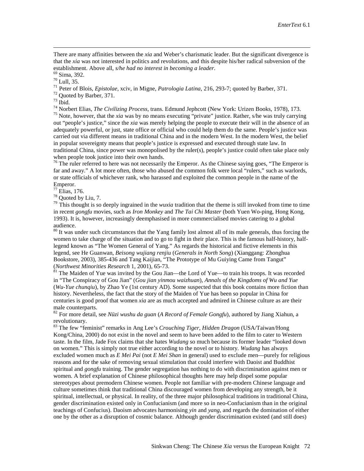There are many affinities between the *xia* and Weber's charismatic leader. But the significant divergence is that the *xia* was not interested in politics and revolutions, and this despite his/her radical subversion of the establishment. Above all, *s/he had no interest in becoming a leader*.

 $\overline{a}$ 

<sup>69</sup> Sima, 392.<br><sup>70</sup> Lull, 35.<br><sup>71</sup> Peter of Blois, *Epistolae*, xciv, in Migne, *Patrologia Latina*, 216, 293-7; quoted by Barber, 371.<br><sup>72</sup> Quoted by Barber, 371.<br><sup>73</sup> Ibid.<br><sup>74</sup> Norbert Elias, *The Civilizing Process*, out "people's justice," since the *xia* was merely helping the people to execute their will in the absence of an adequately powerful, or just, state office or official who could help them do the same. People's justice was carried out via different means in traditional China and in the modern West. In the modern West, the belief in popular sovereignty means that people's justice is expressed and executed through state law. In traditional China, since power was monopolised by the ruler(s), people's justice could often take place only when people took justice into their own hands.

 $76$  The ruler referred to here was not necessarily the Emperor. As the Chinese saying goes, "The Emperor is far and away." A lot more often, those who abused the common folk were local "rulers," such as warlords, or state officials of whichever rank, who harassed and exploited the common people in the name of the Emperor.<br><sup>77</sup> Elias, 176.

<sup>78</sup> Quoted by Liu, 7.<br><sup>79</sup> This thought is so deeply ingrained in the *wuxia* tradition that the theme is still invoked from time to time in recent *gongfu* movies, such as *Iron Monkey* and *The Tai Chi Master* (both Yuen Wo-ping, Hong Kong, 1993). It is, however, increasingly deemphasised in more commercialised movies catering to a global audience.

<sup>80</sup> It was under such circumstances that the Yang family lost almost all of its male generals, thus forcing the women to take charge of the situation and to go to fight in their place. This is the famous half-history, halflegend known as "The Women General of Yang." As regards the historical and fictive elements in this legend, see He Guanwan, *Beisong wujiang renjiu* (*Generals in North Song*) (Xianggang: Zhonghua Bookstore, 2003), 385-436 and Tang Kaijian, "The Prototype of Mu Guiying Came from Tangut" (Northwest Minorities Research 1, 2001), 65-73.

<sup>81</sup> The Maiden of Yue was invited by the Gou Jian—the Lord of Yue—to train his troops. It was recorded in "The Conspiracy of Gou Jian" (*Gou jian yinmou waizhuan*), *Annals of the Kingdoms of Wu and Yue*  (*Wu-Yue chunqiu*), by Zhao Ye (1st century AD). Some suspected that this book contains more fiction than history. Nevertheless, the fact that the story of the Maiden of Yue has been so popular in China for centuries is good proof that women *xia* are as much accepted and admired in Chinese culture as are their male counterparts.

<sup>82</sup> For more detail, see *Nüzi wushu da guan* (*A Record of Female Gongfu*), authored by Jiang Xiahun, a revolutionary.

<span id="page-32-4"></span><span id="page-32-3"></span><span id="page-32-2"></span><span id="page-32-1"></span><span id="page-32-0"></span><sup>83</sup> The few "feminist" remarks in Ang Lee's *Crouching Tiger, Hidden Dragon* (USA/Taiwan/Hong Kong/China, 2000) do not exist in the novel and seem to have been added to the film to cater to Western taste. In the film, Jade Fox claims that she hates *Wudang* so much because its former leader "looked down on women." This is simply not true either according to the novel or to history. *Wudang* has always excluded women much as *E Mei Pai* (not *E Mei Shan* in general) used to exclude men—purely for religious reasons and for the sake of removing sexual stimulation that could interfere with Daoist and Buddhist spiritual and *gongfu* training. The gender segregation has nothing to do with discrimination against men or women. A brief explanation of Chinese philosophical thoughts here may help dispel some popular stereotypes about premodern Chinese women. People not familiar with pre-modern Chinese language and culture sometimes think that traditional China discouraged women from developing any strength, be it spiritual, intellectual, or physical. In reality, of the three major philosophical traditions in traditional China, gender discrimination existed only in Confucianism (and more so in neo-Confucianism than in the original teachings of Confucius). Daoism advocates harmonising *yin* and *yang*, and regards the domination of either one by the other as a disruption of cosmic balance. Although gender discrimination existed (and still does)